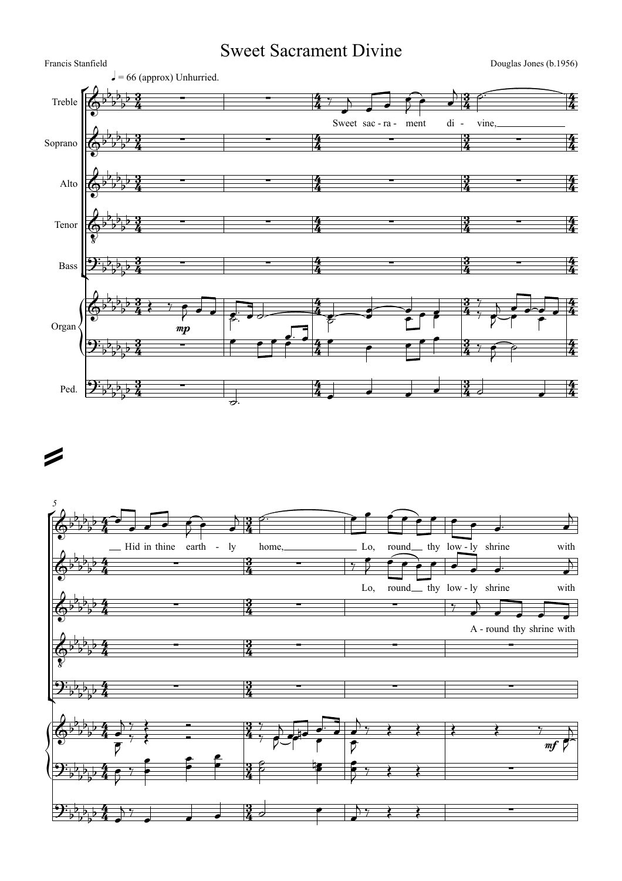## Sweet Sacrament Divine

Francis Stanfield Douglas Jones (b.1956)



## =

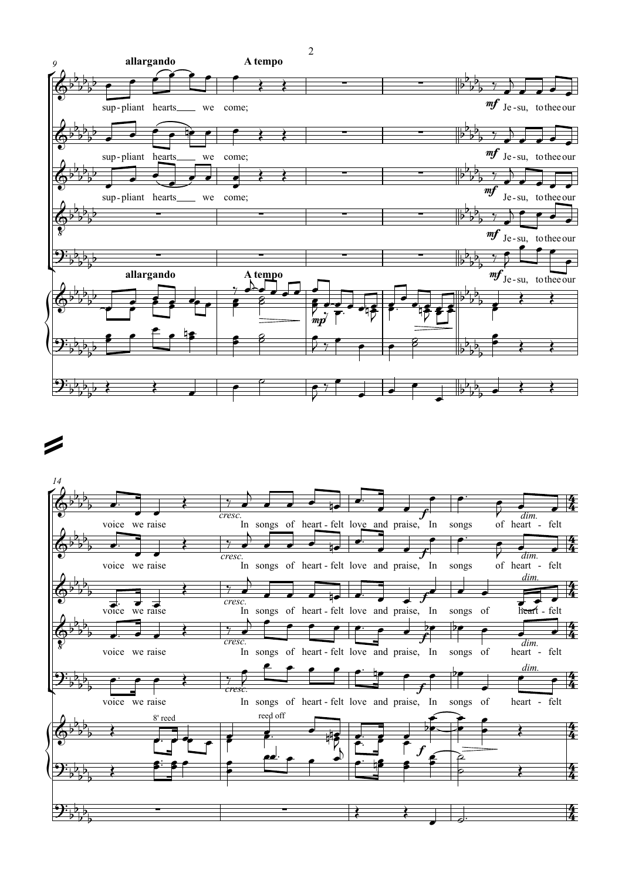

## =

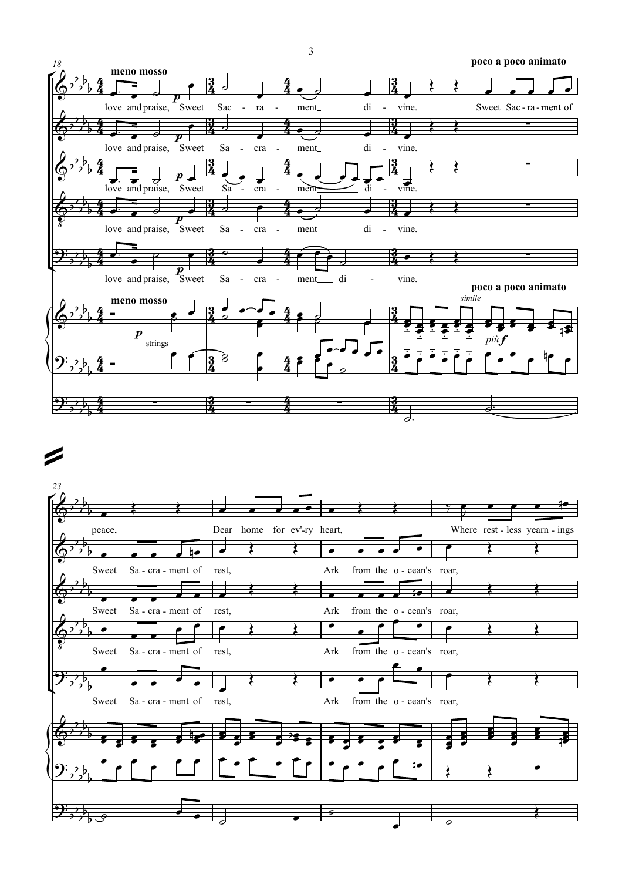

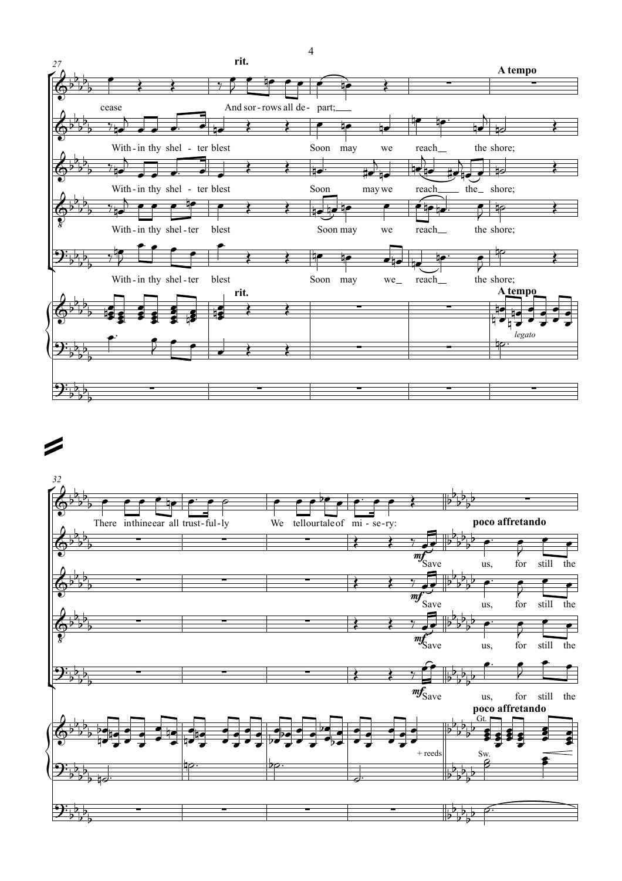

## =

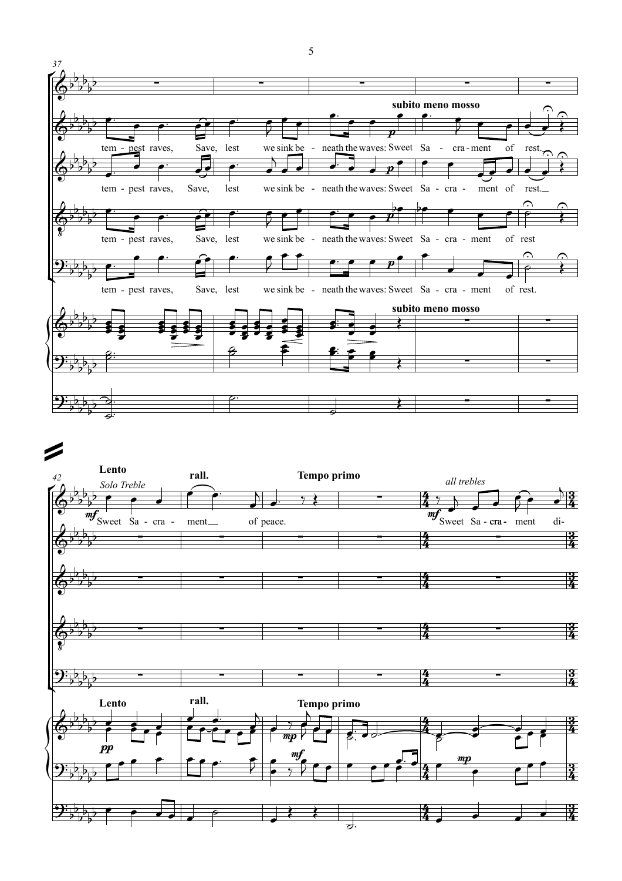



5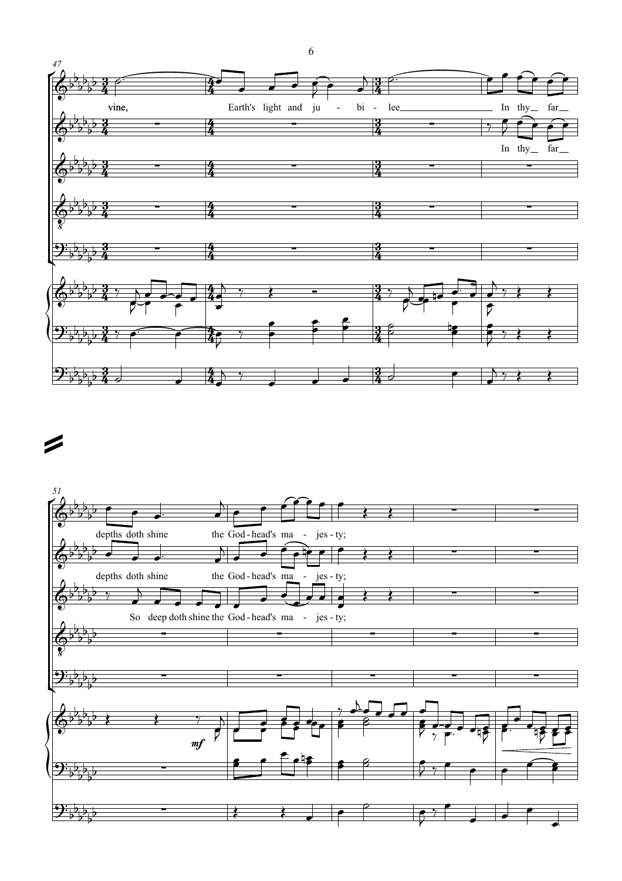